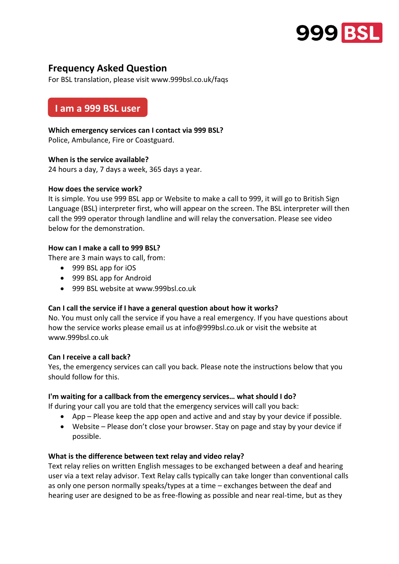

# **Frequency Asked Question**

For BSL translation, please visit www.999bsl.co.uk/faqs

# **I am a 999 BSL user**

### **Which emergency services can I contact via 999 BSL?**

Police, Ambulance, Fire or Coastguard.

#### **When is the service available?**

24 hours a day, 7 days a week, 365 days a year.

#### **How does the service work?**

It is simple. You use 999 BSL app or Website to make a call to 999, it will go to British Sign Language (BSL) interpreter first, who will appear on the screen. The BSL interpreter will then call the 999 operator through landline and will relay the conversation. Please see video below for the demonstration.

#### **How can I make a call to 999 BSL?**

There are 3 main ways to call, from:

- 999 BSL app for iOS
- 999 BSL app for Android
- 999 BSL website at www.999bsl.co.uk

#### **Can I call the service if I have a general question about how it works?**

No. You must only call the service if you have a real emergency. If you have questions about how the service works please email us at info@999bsl.co.uk or visit the website at www.999bsl.co.uk

#### **Can I receive a call back?**

Yes, the emergency services can call you back. Please note the instructions below that you should follow for this.

#### **I'm waiting for a callback from the emergency services… what should I do?**

If during your call you are told that the emergency services will call you back:

- App Please keep the app open and active and and stay by your device if possible.
- Website Please don't close your browser. Stay on page and stay by your device if possible.

#### **What is the difference between text relay and video relay?**

Text relay relies on written English messages to be exchanged between a deaf and hearing user via a text relay advisor. Text Relay calls typically can take longer than conventional calls as only one person normally speaks/types at a time – exchanges between the deaf and hearing user are designed to be as free-flowing as possible and near real-time, but as they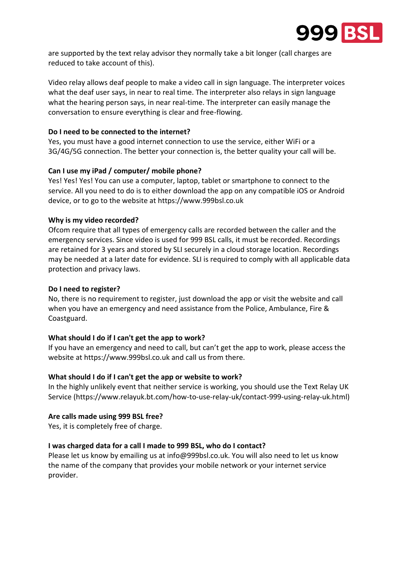

are supported by the text relay advisor they normally take a bit longer (call charges are reduced to take account of this).

Video relay allows deaf people to make a video call in sign language. The interpreter voices what the deaf user says, in near to real time. The interpreter also relays in sign language what the hearing person says, in near real-time. The interpreter can easily manage the conversation to ensure everything is clear and free-flowing.

### **Do I need to be connected to the internet?**

Yes, you must have a good internet connection to use the service, either WiFi or a 3G/4G/5G connection. The better your connection is, the better quality your call will be.

## **Can I use my iPad / computer/ mobile phone?**

Yes! Yes! Yes! You can use a computer, laptop, tablet or smartphone to connect to the service. All you need to do is to either download the app on any compatible iOS or Android device, or to go to the website at https://www.999bsl.co.uk

## **Why is my video recorded?**

Ofcom require that all types of emergency calls are recorded between the caller and the emergency services. Since video is used for 999 BSL calls, it must be recorded. Recordings are retained for 3 years and stored by SLI securely in a cloud storage location. Recordings may be needed at a later date for evidence. SLI is required to comply with all applicable data protection and privacy laws.

#### **Do I need to register?**

No, there is no requirement to register, just download the app or visit the website and call when you have an emergency and need assistance from the Police, Ambulance, Fire & Coastguard.

# **What should I do if I can't get the app to work?**

If you have an emergency and need to call, but can't get the app to work, please access the website at https://www.999bsl.co.uk and call us from there.

# **What should I do if I can't get the app or website to work?**

In the highly unlikely event that neither service is working, you should use the Text Relay UK Service (https://www.relayuk.bt.com/how-to-use-relay-uk/contact-999-using-relay-uk.html)

#### **Are calls made using 999 BSL free?**

Yes, it is completely free of charge.

#### **I was charged data for a call I made to 999 BSL, who do I contact?**

Please let us know by emailing us at info@999bsl.co.uk. You will also need to let us know the name of the company that provides your mobile network or your internet service provider.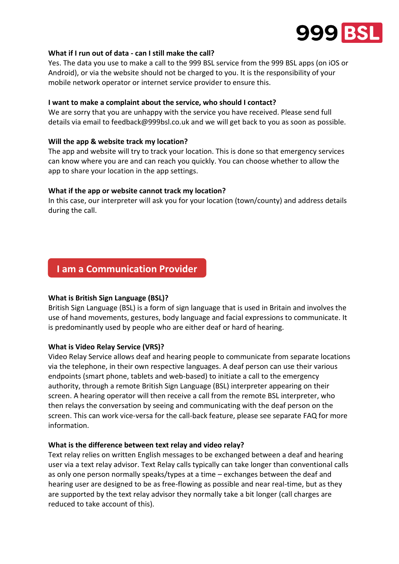

#### **What if I run out of data - can I still make the call?**

Yes. The data you use to make a call to the 999 BSL service from the 999 BSL apps (on iOS or Android), or via the website should not be charged to you. It is the responsibility of your mobile network operator or internet service provider to ensure this.

#### **I want to make a complaint about the service, who should I contact?**

We are sorry that you are unhappy with the service you have received. Please send full details via email to feedback@999bsl.co.uk and we will get back to you as soon as possible.

#### **Will the app & website track my location?**

The app and website will try to track your location. This is done so that emergency services can know where you are and can reach you quickly. You can choose whether to allow the app to share your location in the app settings.

#### **What if the app or website cannot track my location?**

In this case, our interpreter will ask you for your location (town/county) and address details during the call.

# **I am a Communication Provider**

#### **What is British Sign Language (BSL)?**

British Sign Language (BSL) is a form of sign language that is used in Britain and involves the use of hand movements, gestures, body language and facial expressions to communicate. It is predominantly used by people who are either deaf or hard of hearing.

#### **What is Video Relay Service (VRS)?**

Video Relay Service allows deaf and hearing people to communicate from separate locations via the telephone, in their own respective languages. A deaf person can use their various endpoints (smart phone, tablets and web-based) to initiate a call to the emergency authority, through a remote British Sign Language (BSL) interpreter appearing on their screen. A hearing operator will then receive a call from the remote BSL interpreter, who then relays the conversation by seeing and communicating with the deaf person on the screen. This can work vice-versa for the call-back feature, please see separate FAQ for more information.

#### **What is the difference between text relay and video relay?**

Text relay relies on written English messages to be exchanged between a deaf and hearing user via a text relay advisor. Text Relay calls typically can take longer than conventional calls as only one person normally speaks/types at a time – exchanges between the deaf and hearing user are designed to be as free-flowing as possible and near real-time, but as they are supported by the text relay advisor they normally take a bit longer (call charges are reduced to take account of this).